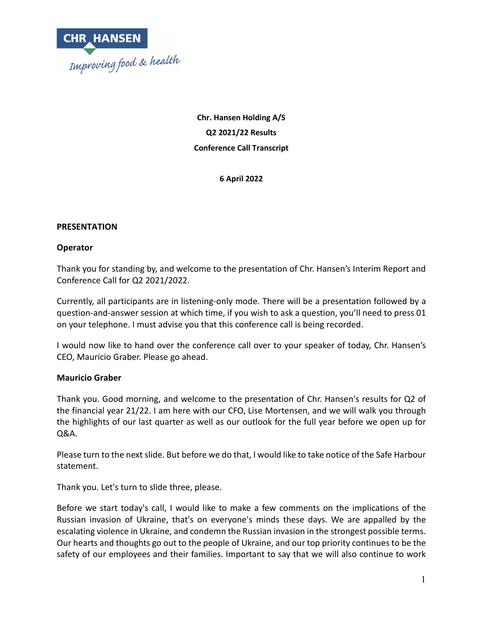

**Chr. Hansen Holding A/S Q2 2021/22 Results Conference Call Transcript**

**6 April 2022**

# **PRESENTATION**

# **Operator**

Thank you for standing by, and welcome to the presentation of Chr. Hansen's Interim Report and Conference Call for Q2 2021/2022.

Currently, all participants are in listening-only mode. There will be a presentation followed by a question-and-answer session at which time, if you wish to ask a question, you'll need to press 01 on your telephone. I must advise you that this conference call is being recorded.

I would now like to hand over the conference call over to your speaker of today, Chr. Hansen's CEO, Mauricio Graber. Please go ahead.

#### **Mauricio Graber**

Thank you. Good morning, and welcome to the presentation of Chr. Hansen's results for Q2 of the financial year 21/22. I am here with our CFO, Lise Mortensen, and we will walk you through the highlights of our last quarter as well as our outlook for the full year before we open up for Q&A.

Please turn to the next slide. But before we do that, I would like to take notice of the Safe Harbour statement.

Thank you. Let's turn to slide three, please.

Before we start today's call, I would like to make a few comments on the implications of the Russian invasion of Ukraine, that's on everyone's minds these days. We are appalled by the escalating violence in Ukraine, and condemn the Russian invasion in the strongest possible terms. Our hearts and thoughts go out to the people of Ukraine, and our top priority continues to be the safety of our employees and their families. Important to say that we will also continue to work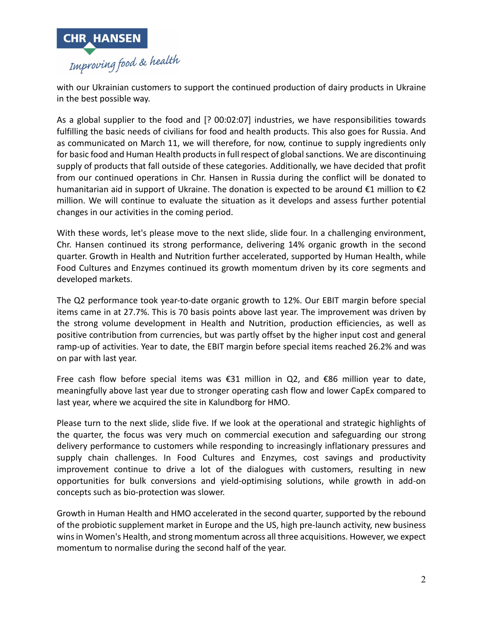

with our Ukrainian customers to support the continued production of dairy products in Ukraine in the best possible way.

As a global supplier to the food and [? 00:02:07] industries, we have responsibilities towards fulfilling the basic needs of civilians for food and health products. This also goes for Russia. And as communicated on March 11, we will therefore, for now, continue to supply ingredients only for basic food and Human Health products in full respect of global sanctions. We are discontinuing supply of products that fall outside of these categories. Additionally, we have decided that profit from our continued operations in Chr. Hansen in Russia during the conflict will be donated to humanitarian aid in support of Ukraine. The donation is expected to be around  $\epsilon$ 1 million to  $\epsilon$ 2 million. We will continue to evaluate the situation as it develops and assess further potential changes in our activities in the coming period.

With these words, let's please move to the next slide, slide four. In a challenging environment, Chr. Hansen continued its strong performance, delivering 14% organic growth in the second quarter. Growth in Health and Nutrition further accelerated, supported by Human Health, while Food Cultures and Enzymes continued its growth momentum driven by its core segments and developed markets.

The Q2 performance took year-to-date organic growth to 12%. Our EBIT margin before special items came in at 27.7%. This is 70 basis points above last year. The improvement was driven by the strong volume development in Health and Nutrition, production efficiencies, as well as positive contribution from currencies, but was partly offset by the higher input cost and general ramp-up of activities. Year to date, the EBIT margin before special items reached 26.2% and was on par with last year.

Free cash flow before special items was  $\epsilon$ 31 million in Q2, and  $\epsilon$ 86 million year to date, meaningfully above last year due to stronger operating cash flow and lower CapEx compared to last year, where we acquired the site in Kalundborg for HMO.

Please turn to the next slide, slide five. If we look at the operational and strategic highlights of the quarter, the focus was very much on commercial execution and safeguarding our strong delivery performance to customers while responding to increasingly inflationary pressures and supply chain challenges. In Food Cultures and Enzymes, cost savings and productivity improvement continue to drive a lot of the dialogues with customers, resulting in new opportunities for bulk conversions and yield-optimising solutions, while growth in add-on concepts such as bio-protection was slower.

Growth in Human Health and HMO accelerated in the second quarter, supported by the rebound of the probiotic supplement market in Europe and the US, high pre-launch activity, new business wins in Women's Health, and strong momentum across all three acquisitions. However, we expect momentum to normalise during the second half of the year.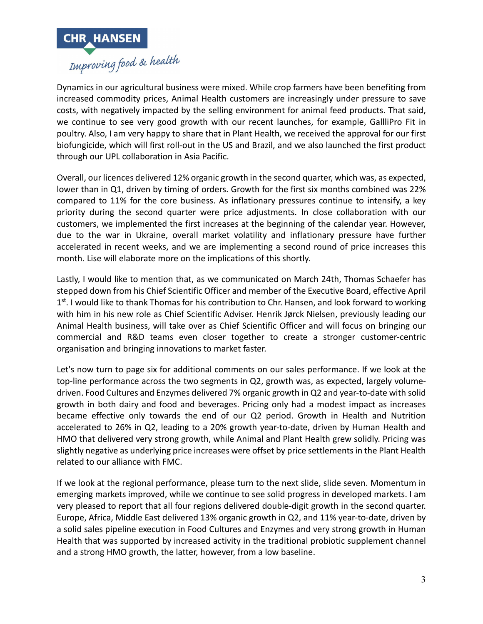

Dynamics in our agricultural business were mixed. While crop farmers have been benefiting from increased commodity prices, Animal Health customers are increasingly under pressure to save costs, with negatively impacted by the selling environment for animal feed products. That said, we continue to see very good growth with our recent launches, for example, GallliPro Fit in poultry. Also, I am very happy to share that in Plant Health, we received the approval for our first biofungicide, which will first roll-out in the US and Brazil, and we also launched the first product through our UPL collaboration in Asia Pacific.

Overall, our licences delivered 12% organic growth in the second quarter, which was, as expected, lower than in Q1, driven by timing of orders. Growth for the first six months combined was 22% compared to 11% for the core business. As inflationary pressures continue to intensify, a key priority during the second quarter were price adjustments. In close collaboration with our customers, we implemented the first increases at the beginning of the calendar year. However, due to the war in Ukraine, overall market volatility and inflationary pressure have further accelerated in recent weeks, and we are implementing a second round of price increases this month. Lise will elaborate more on the implications of this shortly.

Lastly, I would like to mention that, as we communicated on March 24th, Thomas Schaefer has stepped down from his Chief Scientific Officer and member of the Executive Board, effective April  $1<sup>st</sup>$ . I would like to thank Thomas for his contribution to Chr. Hansen, and look forward to working with him in his new role as Chief Scientific Adviser. Henrik Jørck Nielsen, previously leading our Animal Health business, will take over as Chief Scientific Officer and will focus on bringing our commercial and R&D teams even closer together to create a stronger customer-centric organisation and bringing innovations to market faster.

Let's now turn to page six for additional comments on our sales performance. If we look at the top-line performance across the two segments in Q2, growth was, as expected, largely volumedriven. Food Cultures and Enzymes delivered 7% organic growth in Q2 and year-to-date with solid growth in both dairy and food and beverages. Pricing only had a modest impact as increases became effective only towards the end of our Q2 period. Growth in Health and Nutrition accelerated to 26% in Q2, leading to a 20% growth year-to-date, driven by Human Health and HMO that delivered very strong growth, while Animal and Plant Health grew solidly. Pricing was slightly negative as underlying price increases were offset by price settlements in the Plant Health related to our alliance with FMC.

If we look at the regional performance, please turn to the next slide, slide seven. Momentum in emerging markets improved, while we continue to see solid progress in developed markets. I am very pleased to report that all four regions delivered double-digit growth in the second quarter. Europe, Africa, Middle East delivered 13% organic growth in Q2, and 11% year-to-date, driven by a solid sales pipeline execution in Food Cultures and Enzymes and very strong growth in Human Health that was supported by increased activity in the traditional probiotic supplement channel and a strong HMO growth, the latter, however, from a low baseline.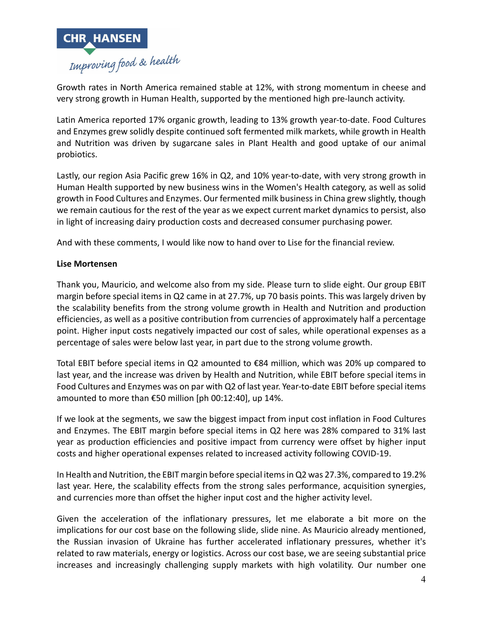

Growth rates in North America remained stable at 12%, with strong momentum in cheese and very strong growth in Human Health, supported by the mentioned high pre-launch activity.

Latin America reported 17% organic growth, leading to 13% growth year-to-date. Food Cultures and Enzymes grew solidly despite continued soft fermented milk markets, while growth in Health and Nutrition was driven by sugarcane sales in Plant Health and good uptake of our animal probiotics.

Lastly, our region Asia Pacific grew 16% in Q2, and 10% year-to-date, with very strong growth in Human Health supported by new business wins in the Women's Health category, as well as solid growth in Food Cultures and Enzymes. Our fermented milk business in China grew slightly, though we remain cautious for the rest of the year as we expect current market dynamics to persist, also in light of increasing dairy production costs and decreased consumer purchasing power.

And with these comments, I would like now to hand over to Lise for the financial review.

# **Lise Mortensen**

Thank you, Mauricio, and welcome also from my side. Please turn to slide eight. Our group EBIT margin before special items in Q2 came in at 27.7%, up 70 basis points. This was largely driven by the scalability benefits from the strong volume growth in Health and Nutrition and production efficiencies, as well as a positive contribution from currencies of approximately half a percentage point. Higher input costs negatively impacted our cost of sales, while operational expenses as a percentage of sales were below last year, in part due to the strong volume growth.

Total EBIT before special items in Q2 amounted to €84 million, which was 20% up compared to last year, and the increase was driven by Health and Nutrition, while EBIT before special items in Food Cultures and Enzymes was on par with Q2 of last year. Year-to-date EBIT before special items amounted to more than €50 million [ph 00:12:40], up 14%.

If we look at the segments, we saw the biggest impact from input cost inflation in Food Cultures and Enzymes. The EBIT margin before special items in Q2 here was 28% compared to 31% last year as production efficiencies and positive impact from currency were offset by higher input costs and higher operational expenses related to increased activity following COVID-19.

In Health and Nutrition, the EBIT margin before special items in Q2 was 27.3%, compared to 19.2% last year. Here, the scalability effects from the strong sales performance, acquisition synergies, and currencies more than offset the higher input cost and the higher activity level.

Given the acceleration of the inflationary pressures, let me elaborate a bit more on the implications for our cost base on the following slide, slide nine. As Mauricio already mentioned, the Russian invasion of Ukraine has further accelerated inflationary pressures, whether it's related to raw materials, energy or logistics. Across our cost base, we are seeing substantial price increases and increasingly challenging supply markets with high volatility. Our number one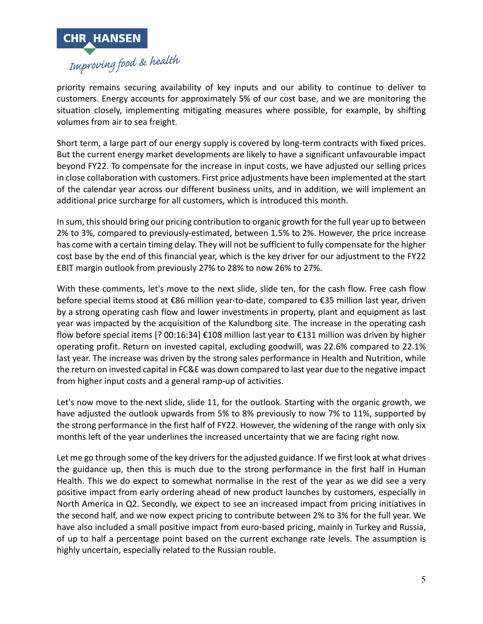

priority remains securing availability of key inputs and our ability to continue to deliver to customers. Energy accounts for approximately 5% of our cost base, and we are monitoring the situation closely, implementing mitigating measures where possible, for example, by shifting volumes from air to sea freight.

Short term, a large part of our energy supply is covered by long-term contracts with fixed prices. But the current energy market developments are likely to have a significant unfavourable impact beyond FY22. To compensate for the increase in input costs, we have adjusted our selling prices in close collaboration with customers. First price adjustments have been implemented at the start of the calendar year across our different business units, and in addition, we will implement an additional price surcharge for all customers, which is introduced this month.

In sum, this should bring our pricing contribution to organic growth for the full year up to between 2% to 3%, compared to previously-estimated, between 1.5% to 2%. However, the price increase has come with a certain timing delay. They will not be sufficient to fully compensate for the higher cost base by the end of this financial year, which is the key driver for our adjustment to the FY22 EBIT margin outlook from previously 27% to 28% to now 26% to 27%.

With these comments, let's move to the next slide, slide ten, for the cash flow. Free cash flow before special items stood at €86 million year-to-date, compared to €35 million last year, driven by a strong operating cash flow and lower investments in property, plant and equipment as last year was impacted by the acquisition of the Kalundborg site. The increase in the operating cash flow before special items [? 00:16:34] €108 million last year to €131 million was driven by higher operating profit. Return on invested capital, excluding goodwill, was 22.6% compared to 22.1% last year. The increase was driven by the strong sales performance in Health and Nutrition, while the return on invested capital in FC&E was down compared to last year due to the negative impact from higher input costs and a general ramp-up of activities.

Let's now move to the next slide, slide 11, for the outlook. Starting with the organic growth, we have adjusted the outlook upwards from 5% to 8% previously to now 7% to 11%, supported by the strong performance in the first half of FY22. However, the widening of the range with only six months left of the year underlines the increased uncertainty that we are facing right now.

Let me go through some of the key drivers for the adjusted guidance. If we first look at what drives the guidance up, then this is much due to the strong performance in the first half in Human Health. This we do expect to somewhat normalise in the rest of the year as we did see a very positive impact from early ordering ahead of new product launches by customers, especially in North America in Q2. Secondly, we expect to see an increased impact from pricing initiatives in the second half, and we now expect pricing to contribute between 2% to 3% for the full year. We have also included a small positive impact from euro-based pricing, mainly in Turkey and Russia, of up to half a percentage point based on the current exchange rate levels. The assumption is highly uncertain, especially related to the Russian rouble.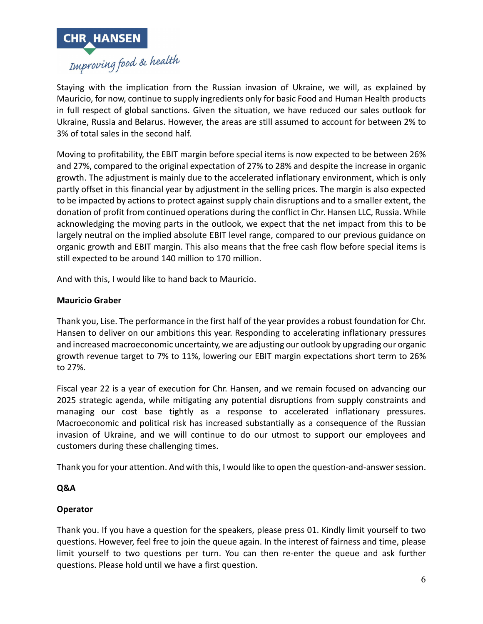

Staying with the implication from the Russian invasion of Ukraine, we will, as explained by Mauricio, for now, continue to supply ingredients only for basic Food and Human Health products in full respect of global sanctions. Given the situation, we have reduced our sales outlook for Ukraine, Russia and Belarus. However, the areas are still assumed to account for between 2% to 3% of total sales in the second half.

Moving to profitability, the EBIT margin before special items is now expected to be between 26% and 27%, compared to the original expectation of 27% to 28% and despite the increase in organic growth. The adjustment is mainly due to the accelerated inflationary environment, which is only partly offset in this financial year by adjustment in the selling prices. The margin is also expected to be impacted by actions to protect against supply chain disruptions and to a smaller extent, the donation of profit from continued operations during the conflict in Chr. Hansen LLC, Russia. While acknowledging the moving parts in the outlook, we expect that the net impact from this to be largely neutral on the implied absolute EBIT level range, compared to our previous guidance on organic growth and EBIT margin. This also means that the free cash flow before special items is still expected to be around 140 million to 170 million.

And with this, I would like to hand back to Mauricio.

# **Mauricio Graber**

Thank you, Lise. The performance in the first half of the year provides a robust foundation for Chr. Hansen to deliver on our ambitions this year. Responding to accelerating inflationary pressures and increased macroeconomic uncertainty, we are adjusting our outlook by upgrading our organic growth revenue target to 7% to 11%, lowering our EBIT margin expectations short term to 26% to 27%.

Fiscal year 22 is a year of execution for Chr. Hansen, and we remain focused on advancing our 2025 strategic agenda, while mitigating any potential disruptions from supply constraints and managing our cost base tightly as a response to accelerated inflationary pressures. Macroeconomic and political risk has increased substantially as a consequence of the Russian invasion of Ukraine, and we will continue to do our utmost to support our employees and customers during these challenging times.

Thank you for your attention. And with this, I would like to open the question-and-answer session.

# **Q&A**

# **Operator**

Thank you. If you have a question for the speakers, please press 01. Kindly limit yourself to two questions. However, feel free to join the queue again. In the interest of fairness and time, please limit yourself to two questions per turn. You can then re-enter the queue and ask further questions. Please hold until we have a first question.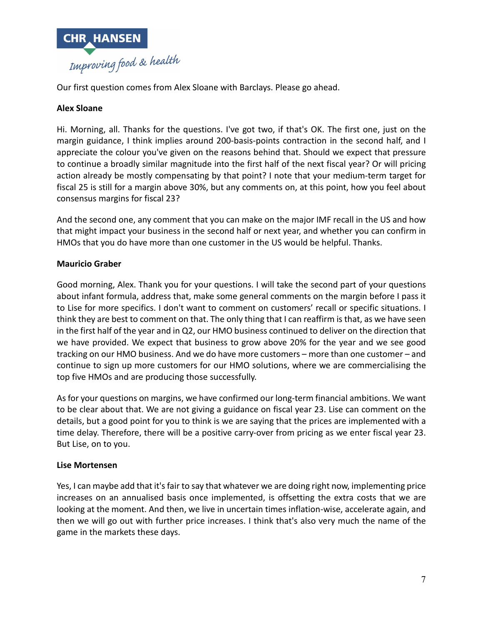

Our first question comes from Alex Sloane with Barclays. Please go ahead.

# **Alex Sloane**

Hi. Morning, all. Thanks for the questions. I've got two, if that's OK. The first one, just on the margin guidance, I think implies around 200-basis-points contraction in the second half, and I appreciate the colour you've given on the reasons behind that. Should we expect that pressure to continue a broadly similar magnitude into the first half of the next fiscal year? Or will pricing action already be mostly compensating by that point? I note that your medium-term target for fiscal 25 is still for a margin above 30%, but any comments on, at this point, how you feel about consensus margins for fiscal 23?

And the second one, any comment that you can make on the major IMF recall in the US and how that might impact your business in the second half or next year, and whether you can confirm in HMOs that you do have more than one customer in the US would be helpful. Thanks.

# **Mauricio Graber**

Good morning, Alex. Thank you for your questions. I will take the second part of your questions about infant formula, address that, make some general comments on the margin before I pass it to Lise for more specifics. I don't want to comment on customers' recall or specific situations. I think they are best to comment on that. The only thing that I can reaffirm is that, as we have seen in the first half of the year and in Q2, our HMO business continued to deliver on the direction that we have provided. We expect that business to grow above 20% for the year and we see good tracking on our HMO business. And we do have more customers – more than one customer – and continue to sign up more customers for our HMO solutions, where we are commercialising the top five HMOs and are producing those successfully.

As for your questions on margins, we have confirmed our long-term financial ambitions. We want to be clear about that. We are not giving a guidance on fiscal year 23. Lise can comment on the details, but a good point for you to think is we are saying that the prices are implemented with a time delay. Therefore, there will be a positive carry-over from pricing as we enter fiscal year 23. But Lise, on to you.

# **Lise Mortensen**

Yes, I can maybe add that it's fair to say that whatever we are doing right now, implementing price increases on an annualised basis once implemented, is offsetting the extra costs that we are looking at the moment. And then, we live in uncertain times inflation-wise, accelerate again, and then we will go out with further price increases. I think that's also very much the name of the game in the markets these days.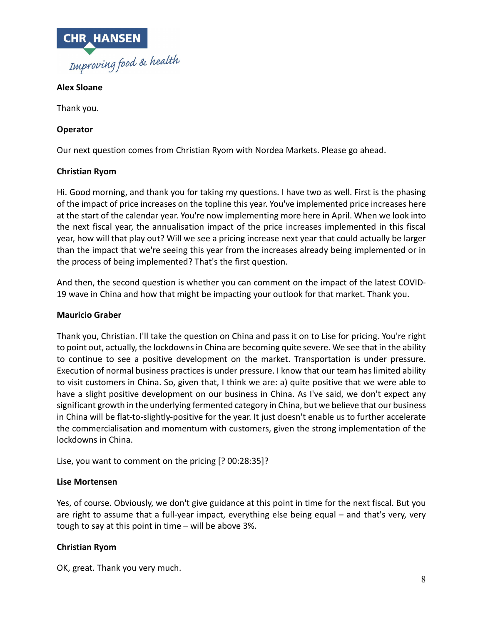

# **Alex Sloane**

Thank you.

# **Operator**

Our next question comes from Christian Ryom with Nordea Markets. Please go ahead.

# **Christian Ryom**

Hi. Good morning, and thank you for taking my questions. I have two as well. First is the phasing of the impact of price increases on the topline this year. You've implemented price increases here at the start of the calendar year. You're now implementing more here in April. When we look into the next fiscal year, the annualisation impact of the price increases implemented in this fiscal year, how will that play out? Will we see a pricing increase next year that could actually be larger than the impact that we're seeing this year from the increases already being implemented or in the process of being implemented? That's the first question.

And then, the second question is whether you can comment on the impact of the latest COVID-19 wave in China and how that might be impacting your outlook for that market. Thank you.

#### **Mauricio Graber**

Thank you, Christian. I'll take the question on China and pass it on to Lise for pricing. You're right to point out, actually, the lockdowns in China are becoming quite severe. We see that in the ability to continue to see a positive development on the market. Transportation is under pressure. Execution of normal business practices is under pressure. I know that our team has limited ability to visit customers in China. So, given that, I think we are: a) quite positive that we were able to have a slight positive development on our business in China. As I've said, we don't expect any significant growth in the underlying fermented category in China, but we believe that our business in China will be flat-to-slightly-positive for the year. It just doesn't enable us to further accelerate the commercialisation and momentum with customers, given the strong implementation of the lockdowns in China.

Lise, you want to comment on the pricing [? 00:28:35]?

#### **Lise Mortensen**

Yes, of course. Obviously, we don't give guidance at this point in time for the next fiscal. But you are right to assume that a full-year impact, everything else being equal – and that's very, very tough to say at this point in time – will be above 3%.

# **Christian Ryom**

OK, great. Thank you very much.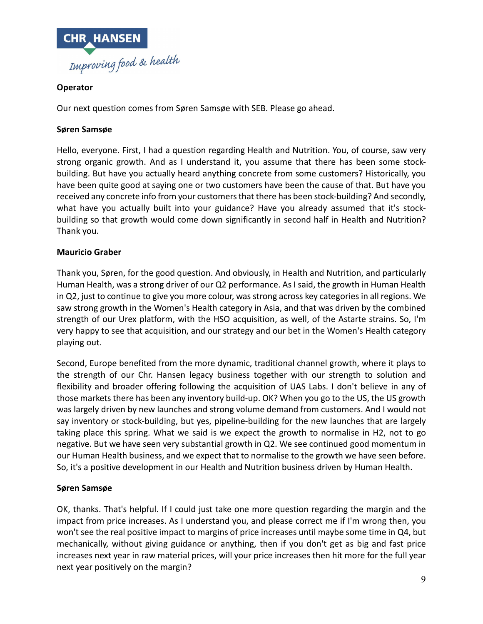

# **Operator**

Our next question comes from Søren Samsøe with SEB. Please go ahead.

# **Søren Samsøe**

Hello, everyone. First, I had a question regarding Health and Nutrition. You, of course, saw very strong organic growth. And as I understand it, you assume that there has been some stockbuilding. But have you actually heard anything concrete from some customers? Historically, you have been quite good at saying one or two customers have been the cause of that. But have you received any concrete info from your customers that there has been stock-building? And secondly, what have you actually built into your guidance? Have you already assumed that it's stockbuilding so that growth would come down significantly in second half in Health and Nutrition? Thank you.

### **Mauricio Graber**

Thank you, Søren, for the good question. And obviously, in Health and Nutrition, and particularly Human Health, was a strong driver of our Q2 performance. As I said, the growth in Human Health in Q2, just to continue to give you more colour, was strong across key categories in all regions. We saw strong growth in the Women's Health category in Asia, and that was driven by the combined strength of our Urex platform, with the HSO acquisition, as well, of the Astarte strains. So, I'm very happy to see that acquisition, and our strategy and our bet in the Women's Health category playing out.

Second, Europe benefited from the more dynamic, traditional channel growth, where it plays to the strength of our Chr. Hansen legacy business together with our strength to solution and flexibility and broader offering following the acquisition of UAS Labs. I don't believe in any of those markets there has been any inventory build-up. OK? When you go to the US, the US growth was largely driven by new launches and strong volume demand from customers. And I would not say inventory or stock-building, but yes, pipeline-building for the new launches that are largely taking place this spring. What we said is we expect the growth to normalise in H2, not to go negative. But we have seen very substantial growth in Q2. We see continued good momentum in our Human Health business, and we expect that to normalise to the growth we have seen before. So, it's a positive development in our Health and Nutrition business driven by Human Health.

# **Søren Samsøe**

OK, thanks. That's helpful. If I could just take one more question regarding the margin and the impact from price increases. As I understand you, and please correct me if I'm wrong then, you won't see the real positive impact to margins of price increases until maybe some time in Q4, but mechanically, without giving guidance or anything, then if you don't get as big and fast price increases next year in raw material prices, will your price increases then hit more for the full year next year positively on the margin?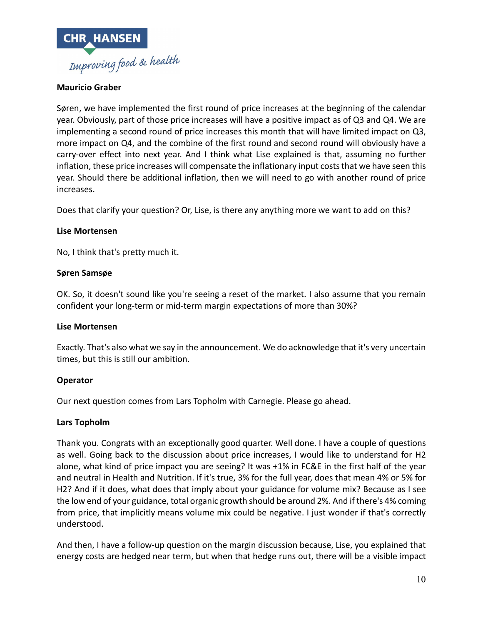

# **Mauricio Graber**

Søren, we have implemented the first round of price increases at the beginning of the calendar year. Obviously, part of those price increases will have a positive impact as of Q3 and Q4. We are implementing a second round of price increases this month that will have limited impact on Q3, more impact on Q4, and the combine of the first round and second round will obviously have a carry-over effect into next year. And I think what Lise explained is that, assuming no further inflation, these price increases will compensate the inflationary input costs that we have seen this year. Should there be additional inflation, then we will need to go with another round of price increases.

Does that clarify your question? Or, Lise, is there any anything more we want to add on this?

# **Lise Mortensen**

No, I think that's pretty much it.

# **Søren Samsøe**

OK. So, it doesn't sound like you're seeing a reset of the market. I also assume that you remain confident your long-term or mid-term margin expectations of more than 30%?

# **Lise Mortensen**

Exactly. That's also what we say in the announcement. We do acknowledge that it's very uncertain times, but this is still our ambition.

# **Operator**

Our next question comes from Lars Topholm with Carnegie. Please go ahead.

# **Lars Topholm**

Thank you. Congrats with an exceptionally good quarter. Well done. I have a couple of questions as well. Going back to the discussion about price increases, I would like to understand for H2 alone, what kind of price impact you are seeing? It was +1% in FC&E in the first half of the year and neutral in Health and Nutrition. If it's true, 3% for the full year, does that mean 4% or 5% for H2? And if it does, what does that imply about your guidance for volume mix? Because as I see the low end of your guidance, total organic growth should be around 2%. And if there's 4% coming from price, that implicitly means volume mix could be negative. I just wonder if that's correctly understood.

And then, I have a follow-up question on the margin discussion because, Lise, you explained that energy costs are hedged near term, but when that hedge runs out, there will be a visible impact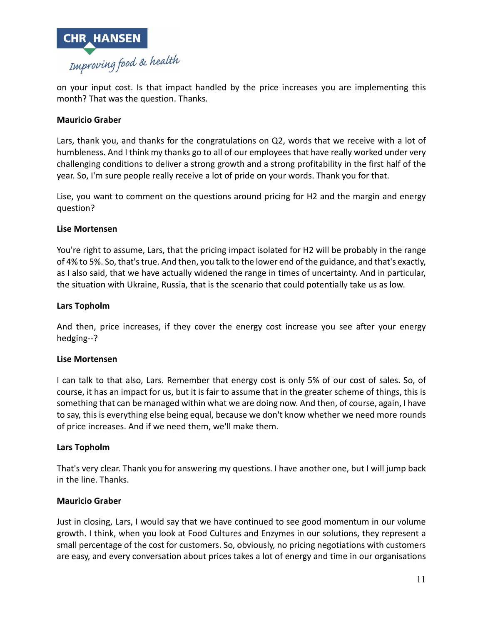

on your input cost. Is that impact handled by the price increases you are implementing this month? That was the question. Thanks.

# **Mauricio Graber**

Lars, thank you, and thanks for the congratulations on Q2, words that we receive with a lot of humbleness. And I think my thanks go to all of our employees that have really worked under very challenging conditions to deliver a strong growth and a strong profitability in the first half of the year. So, I'm sure people really receive a lot of pride on your words. Thank you for that.

Lise, you want to comment on the questions around pricing for H2 and the margin and energy question?

# **Lise Mortensen**

You're right to assume, Lars, that the pricing impact isolated for H2 will be probably in the range of 4% to 5%. So, that's true. And then, you talk to the lower end of the guidance, and that's exactly, as I also said, that we have actually widened the range in times of uncertainty. And in particular, the situation with Ukraine, Russia, that is the scenario that could potentially take us as low.

### **Lars Topholm**

And then, price increases, if they cover the energy cost increase you see after your energy hedging--?

# **Lise Mortensen**

I can talk to that also, Lars. Remember that energy cost is only 5% of our cost of sales. So, of course, it has an impact for us, but it is fair to assume that in the greater scheme of things, this is something that can be managed within what we are doing now. And then, of course, again, I have to say, this is everything else being equal, because we don't know whether we need more rounds of price increases. And if we need them, we'll make them.

#### **Lars Topholm**

That's very clear. Thank you for answering my questions. I have another one, but I will jump back in the line. Thanks.

# **Mauricio Graber**

Just in closing, Lars, I would say that we have continued to see good momentum in our volume growth. I think, when you look at Food Cultures and Enzymes in our solutions, they represent a small percentage of the cost for customers. So, obviously, no pricing negotiations with customers are easy, and every conversation about prices takes a lot of energy and time in our organisations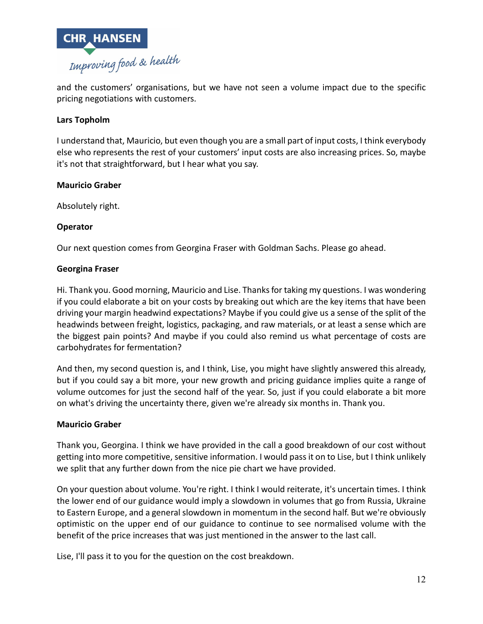

and the customers' organisations, but we have not seen a volume impact due to the specific pricing negotiations with customers.

# **Lars Topholm**

I understand that, Mauricio, but even though you are a small part of input costs, I think everybody else who represents the rest of your customers' input costs are also increasing prices. So, maybe it's not that straightforward, but I hear what you say.

### **Mauricio Graber**

Absolutely right.

# **Operator**

Our next question comes from Georgina Fraser with Goldman Sachs. Please go ahead.

# **Georgina Fraser**

Hi. Thank you. Good morning, Mauricio and Lise. Thanks for taking my questions. I was wondering if you could elaborate a bit on your costs by breaking out which are the key items that have been driving your margin headwind expectations? Maybe if you could give us a sense of the split of the headwinds between freight, logistics, packaging, and raw materials, or at least a sense which are the biggest pain points? And maybe if you could also remind us what percentage of costs are carbohydrates for fermentation?

And then, my second question is, and I think, Lise, you might have slightly answered this already, but if you could say a bit more, your new growth and pricing guidance implies quite a range of volume outcomes for just the second half of the year. So, just if you could elaborate a bit more on what's driving the uncertainty there, given we're already six months in. Thank you.

# **Mauricio Graber**

Thank you, Georgina. I think we have provided in the call a good breakdown of our cost without getting into more competitive, sensitive information. I would pass it on to Lise, but I think unlikely we split that any further down from the nice pie chart we have provided.

On your question about volume. You're right. I think I would reiterate, it's uncertain times. I think the lower end of our guidance would imply a slowdown in volumes that go from Russia, Ukraine to Eastern Europe, and a general slowdown in momentum in the second half. But we're obviously optimistic on the upper end of our guidance to continue to see normalised volume with the benefit of the price increases that was just mentioned in the answer to the last call.

Lise, I'll pass it to you for the question on the cost breakdown.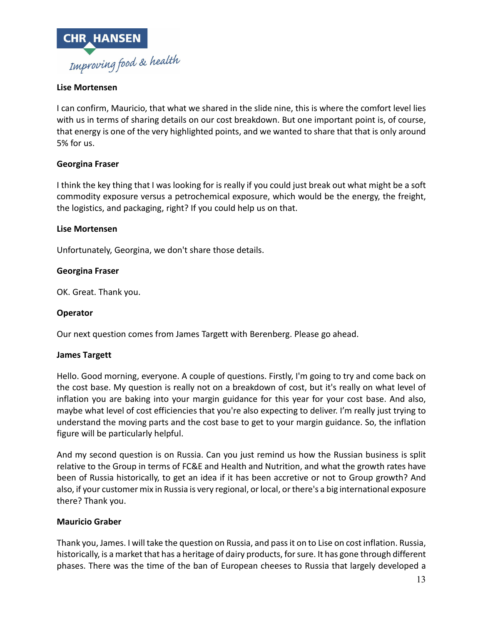

# **Lise Mortensen**

I can confirm, Mauricio, that what we shared in the slide nine, this is where the comfort level lies with us in terms of sharing details on our cost breakdown. But one important point is, of course, that energy is one of the very highlighted points, and we wanted to share that that is only around 5% for us.

# **Georgina Fraser**

I think the key thing that I was looking for is really if you could just break out what might be a soft commodity exposure versus a petrochemical exposure, which would be the energy, the freight, the logistics, and packaging, right? If you could help us on that.

# **Lise Mortensen**

Unfortunately, Georgina, we don't share those details.

# **Georgina Fraser**

OK. Great. Thank you.

#### **Operator**

Our next question comes from James Targett with Berenberg. Please go ahead.

#### **James Targett**

Hello. Good morning, everyone. A couple of questions. Firstly, I'm going to try and come back on the cost base. My question is really not on a breakdown of cost, but it's really on what level of inflation you are baking into your margin guidance for this year for your cost base. And also, maybe what level of cost efficiencies that you're also expecting to deliver. I'm really just trying to understand the moving parts and the cost base to get to your margin guidance. So, the inflation figure will be particularly helpful.

And my second question is on Russia. Can you just remind us how the Russian business is split relative to the Group in terms of FC&E and Health and Nutrition, and what the growth rates have been of Russia historically, to get an idea if it has been accretive or not to Group growth? And also, if your customer mix in Russia is very regional, or local, or there's a big international exposure there? Thank you.

# **Mauricio Graber**

Thank you, James. I will take the question on Russia, and pass it on to Lise on cost inflation. Russia, historically, is a market that has a heritage of dairy products, for sure. It has gone through different phases. There was the time of the ban of European cheeses to Russia that largely developed a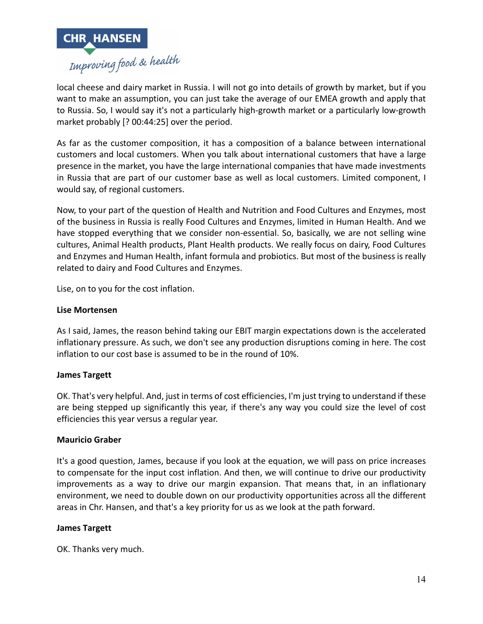

local cheese and dairy market in Russia. I will not go into details of growth by market, but if you want to make an assumption, you can just take the average of our EMEA growth and apply that to Russia. So, I would say it's not a particularly high-growth market or a particularly low-growth market probably [? 00:44:25] over the period.

As far as the customer composition, it has a composition of a balance between international customers and local customers. When you talk about international customers that have a large presence in the market, you have the large international companies that have made investments in Russia that are part of our customer base as well as local customers. Limited component, I would say, of regional customers.

Now, to your part of the question of Health and Nutrition and Food Cultures and Enzymes, most of the business in Russia is really Food Cultures and Enzymes, limited in Human Health. And we have stopped everything that we consider non-essential. So, basically, we are not selling wine cultures, Animal Health products, Plant Health products. We really focus on dairy, Food Cultures and Enzymes and Human Health, infant formula and probiotics. But most of the business is really related to dairy and Food Cultures and Enzymes.

Lise, on to you for the cost inflation.

# **Lise Mortensen**

As I said, James, the reason behind taking our EBIT margin expectations down is the accelerated inflationary pressure. As such, we don't see any production disruptions coming in here. The cost inflation to our cost base is assumed to be in the round of 10%.

# **James Targett**

OK. That's very helpful. And, just in terms of cost efficiencies, I'm just trying to understand if these are being stepped up significantly this year, if there's any way you could size the level of cost efficiencies this year versus a regular year.

# **Mauricio Graber**

It's a good question, James, because if you look at the equation, we will pass on price increases to compensate for the input cost inflation. And then, we will continue to drive our productivity improvements as a way to drive our margin expansion. That means that, in an inflationary environment, we need to double down on our productivity opportunities across all the different areas in Chr. Hansen, and that's a key priority for us as we look at the path forward.

# **James Targett**

OK. Thanks very much.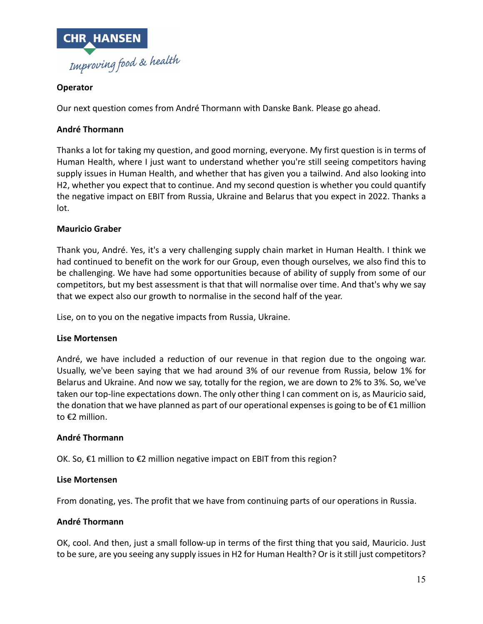

# **Operator**

Our next question comes from André Thormann with Danske Bank. Please go ahead.

# **André Thormann**

Thanks a lot for taking my question, and good morning, everyone. My first question is in terms of Human Health, where I just want to understand whether you're still seeing competitors having supply issues in Human Health, and whether that has given you a tailwind. And also looking into H2, whether you expect that to continue. And my second question is whether you could quantify the negative impact on EBIT from Russia, Ukraine and Belarus that you expect in 2022. Thanks a lot.

# **Mauricio Graber**

Thank you, André. Yes, it's a very challenging supply chain market in Human Health. I think we had continued to benefit on the work for our Group, even though ourselves, we also find this to be challenging. We have had some opportunities because of ability of supply from some of our competitors, but my best assessment is that that will normalise over time. And that's why we say that we expect also our growth to normalise in the second half of the year.

Lise, on to you on the negative impacts from Russia, Ukraine.

# **Lise Mortensen**

André, we have included a reduction of our revenue in that region due to the ongoing war. Usually, we've been saying that we had around 3% of our revenue from Russia, below 1% for Belarus and Ukraine. And now we say, totally for the region, we are down to 2% to 3%. So, we've taken our top-line expectations down. The only other thing I can comment on is, as Mauricio said, the donation that we have planned as part of our operational expenses is going to be of €1 million to €2 million.

# **André Thormann**

OK. So, €1 million to €2 million negative impact on EBIT from this region?

# **Lise Mortensen**

From donating, yes. The profit that we have from continuing parts of our operations in Russia.

# **André Thormann**

OK, cool. And then, just a small follow-up in terms of the first thing that you said, Mauricio. Just to be sure, are you seeing any supply issues in H2 for Human Health? Or is it still just competitors?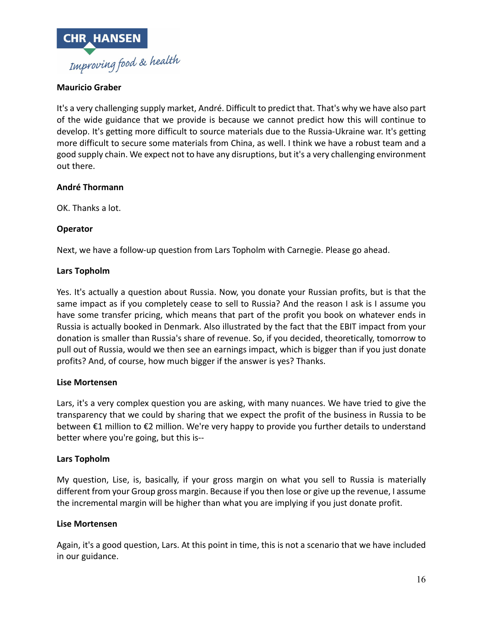

# **Mauricio Graber**

It's a very challenging supply market, André. Difficult to predict that. That's why we have also part of the wide guidance that we provide is because we cannot predict how this will continue to develop. It's getting more difficult to source materials due to the Russia-Ukraine war. It's getting more difficult to secure some materials from China, as well. I think we have a robust team and a good supply chain. We expect not to have any disruptions, but it's a very challenging environment out there.

# **André Thormann**

OK. Thanks a lot.

# **Operator**

Next, we have a follow-up question from Lars Topholm with Carnegie. Please go ahead.

# **Lars Topholm**

Yes. It's actually a question about Russia. Now, you donate your Russian profits, but is that the same impact as if you completely cease to sell to Russia? And the reason I ask is I assume you have some transfer pricing, which means that part of the profit you book on whatever ends in Russia is actually booked in Denmark. Also illustrated by the fact that the EBIT impact from your donation is smaller than Russia's share of revenue. So, if you decided, theoretically, tomorrow to pull out of Russia, would we then see an earnings impact, which is bigger than if you just donate profits? And, of course, how much bigger if the answer is yes? Thanks.

# **Lise Mortensen**

Lars, it's a very complex question you are asking, with many nuances. We have tried to give the transparency that we could by sharing that we expect the profit of the business in Russia to be between €1 million to €2 million. We're very happy to provide you further details to understand better where you're going, but this is--

# **Lars Topholm**

My question, Lise, is, basically, if your gross margin on what you sell to Russia is materially different from your Group gross margin. Because if you then lose or give up the revenue, I assume the incremental margin will be higher than what you are implying if you just donate profit.

# **Lise Mortensen**

Again, it's a good question, Lars. At this point in time, this is not a scenario that we have included in our guidance.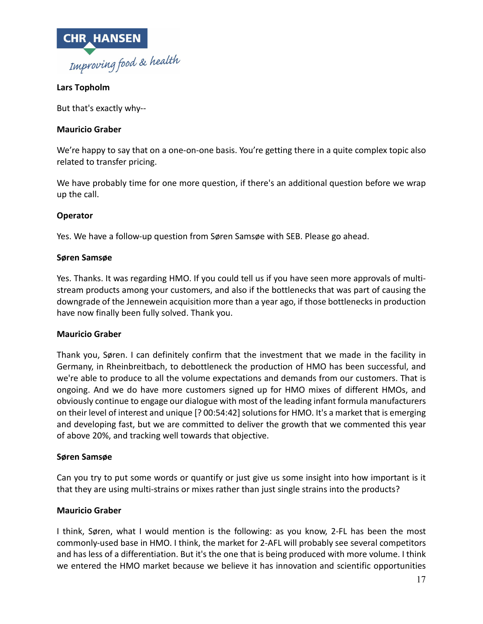

# **Lars Topholm**

But that's exactly why--

# **Mauricio Graber**

We're happy to say that on a one-on-one basis. You're getting there in a quite complex topic also related to transfer pricing.

We have probably time for one more question, if there's an additional question before we wrap up the call.

# **Operator**

Yes. We have a follow-up question from Søren Samsøe with SEB. Please go ahead.

# **Søren Samsøe**

Yes. Thanks. It was regarding HMO. If you could tell us if you have seen more approvals of multistream products among your customers, and also if the bottlenecks that was part of causing the downgrade of the Jennewein acquisition more than a year ago, if those bottlenecks in production have now finally been fully solved. Thank you.

# **Mauricio Graber**

Thank you, Søren. I can definitely confirm that the investment that we made in the facility in Germany, in Rheinbreitbach, to debottleneck the production of HMO has been successful, and we're able to produce to all the volume expectations and demands from our customers. That is ongoing. And we do have more customers signed up for HMO mixes of different HMOs, and obviously continue to engage our dialogue with most of the leading infant formula manufacturers on their level of interest and unique [? 00:54:42] solutions for HMO. It's a market that is emerging and developing fast, but we are committed to deliver the growth that we commented this year of above 20%, and tracking well towards that objective.

# **Søren Samsøe**

Can you try to put some words or quantify or just give us some insight into how important is it that they are using multi-strains or mixes rather than just single strains into the products?

# **Mauricio Graber**

I think, Søren, what I would mention is the following: as you know, 2-FL has been the most commonly-used base in HMO. I think, the market for 2-AFL will probably see several competitors and has less of a differentiation. But it's the one that is being produced with more volume. I think we entered the HMO market because we believe it has innovation and scientific opportunities